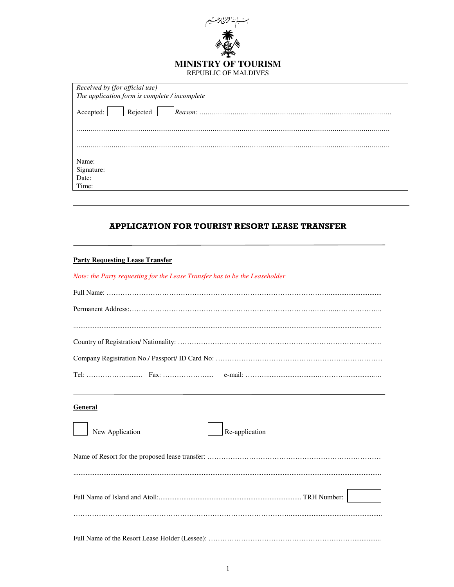

| Received by (for official use)                |
|-----------------------------------------------|
| The application form is complete / incomplete |
| Rejected<br>Accepted:                         |
|                                               |
|                                               |
|                                               |
| Name:                                         |
| Signature:                                    |
| Date:                                         |
| Time:                                         |

# APPLICATION FOR TOURIST RESORT LEASE TRANSFER

## **Party Requesting Lease Transfer**

|  |  |  |  | Note: the Party requesting for the Lease Transfer has to be the Leaseholder |
|--|--|--|--|-----------------------------------------------------------------------------|
|  |  |  |  |                                                                             |

#### **General**

| New Application | Re-application |
|-----------------|----------------|
|                 |                |
|                 |                |
|                 |                |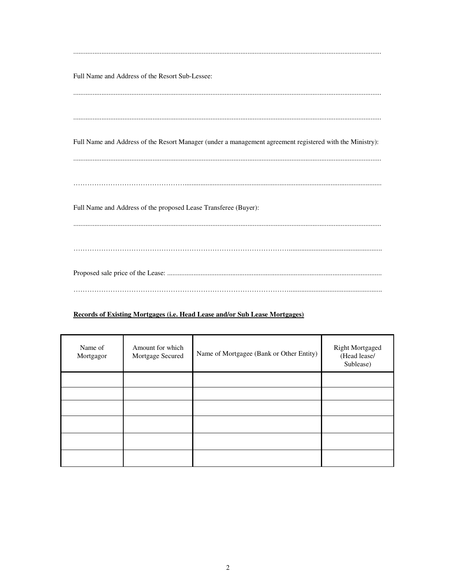| Full Name and Address of the Resort Sub-Lessee:                                                          |
|----------------------------------------------------------------------------------------------------------|
|                                                                                                          |
|                                                                                                          |
|                                                                                                          |
| Full Name and Address of the Resort Manager (under a management agreement registered with the Ministry): |
|                                                                                                          |
|                                                                                                          |
| Full Name and Address of the proposed Lease Transferee (Buyer):                                          |
|                                                                                                          |
|                                                                                                          |
|                                                                                                          |
|                                                                                                          |

### Records of Existing Mortgages (i.e. Head Lease and/or Sub Lease Mortgages)

| Name of<br>Mortgagor | Amount for which<br>Mortgage Secured | Name of Mortgagee (Bank or Other Entity) | Right Mortgaged<br>(Head lease/<br>Sublease) |
|----------------------|--------------------------------------|------------------------------------------|----------------------------------------------|
|                      |                                      |                                          |                                              |
|                      |                                      |                                          |                                              |
|                      |                                      |                                          |                                              |
|                      |                                      |                                          |                                              |
|                      |                                      |                                          |                                              |
|                      |                                      |                                          |                                              |